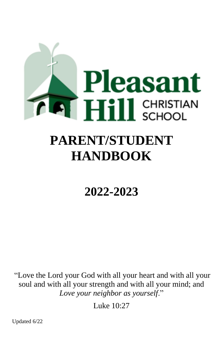

# **PARENT/STUDENT HANDBOOK**

## **2022-2023**

"Love the Lord your God with all your heart and with all your soul and with all your strength and with all your mind; and *Love your neighbor as yourself*."

Luke 10:27

Updated 6/22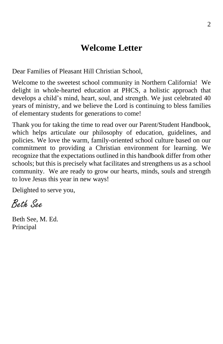#### **Welcome Letter**

<span id="page-1-0"></span>Dear Families of Pleasant Hill Christian School,

Welcome to the sweetest school community in Northern California! We delight in whole-hearted education at PHCS, a holistic approach that develops a child's mind, heart, soul, and strength. We just celebrated 40 years of ministry, and we believe the Lord is continuing to bless families of elementary students for generations to come!

Thank you for taking the time to read over our Parent/Student Handbook, which helps articulate our philosophy of education, guidelines, and policies. We love the warm, family-oriented school culture based on our commitment to providing a Christian environment for learning. We recognize that the expectations outlined in this handbook differ from other schools; but this is precisely what facilitates and strengthens us as a school community. We are ready to grow our hearts, minds, souls and strength to love Jesus this year in new ways!

Delighted to serve you,

Beth See

Beth See, M. Ed. Principal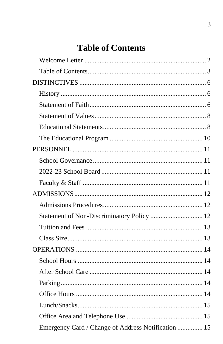## **Table of Contents**

<span id="page-2-0"></span>

| Statement of Non-Discriminatory Policy  12 |  |
|--------------------------------------------|--|
|                                            |  |
|                                            |  |
|                                            |  |
|                                            |  |
|                                            |  |
|                                            |  |
|                                            |  |
|                                            |  |
|                                            |  |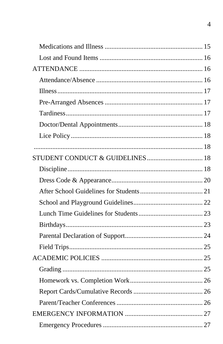| STUDENT CONDUCT & GUIDELINES 18 |  |
|---------------------------------|--|
|                                 |  |
|                                 |  |
|                                 |  |
|                                 |  |
|                                 |  |
|                                 |  |
|                                 |  |
|                                 |  |
|                                 |  |
|                                 |  |
|                                 |  |
|                                 |  |
|                                 |  |
|                                 |  |
|                                 |  |
|                                 |  |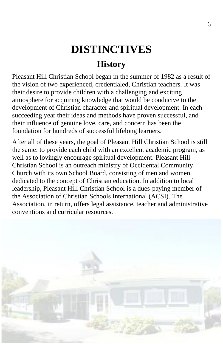## **DISTINCTIVES History**

6

<span id="page-5-1"></span><span id="page-5-0"></span>Pleasant Hill Christian School began in the summer of 1982 as a result of the vision of two experienced, credentialed, Christian teachers. It was their desire to provide children with a challenging and exciting atmosphere for acquiring knowledge that would be conducive to the development of Christian character and spiritual development. In each succeeding year their ideas and methods have proven successful, and their influence of genuine love, care, and concern has been the foundation for hundreds of successful lifelong learners.

<span id="page-5-2"></span>After all of these years, the goal of Pleasant Hill Christian School is still the same: to provide each child with an excellent academic program, as well as to lovingly encourage spiritual development. Pleasant Hill Christian School is an outreach ministry of Occidental Community Church with its own School Board, consisting of men and women dedicated to the concept of Christian education. In addition to local leadership, Pleasant Hill Christian School is a dues-paying member of the Association of Christian Schools International (ACSI). The Association, in return, offers legal assistance, teacher and administrative conventions and curricular resources.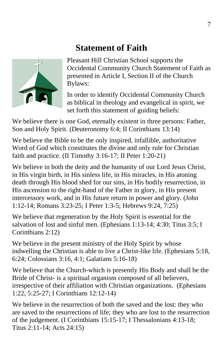#### **Statement of Faith**



Pleasant Hill Christian School supports the Occidental Community Church Statement of Faith as presented in Article I, Section II of the Church Bylaws:

In order to identify Occidental Community Church as biblical in theology and evangelical in spirit, we set forth this statement of guiding beliefs:

We believe there is one God, eternally existent in three persons: Father, Son and Holy Spirit. (Deuteronomy 6:4; II Corinthians 13:14)

We believe the Bible to be the only inspired, infallible, authoritative Word of God which constitutes the divine and only rule for Christian faith and practice. (II Timothy 3:16-17; II Peter 1:20-21)

We believe in both the deity and the humanity of our Lord Jesus Christ, in His virgin birth, in His sinless life, in His miracles, in His atoning death through His blood shed for our sins, in His bodily resurrection, in His ascension to the right-hand of the Father in glory, in His present intercessory work, and in His future return in power and glory. (John 1:12-14; Romans 3:23-25; I Peter 1:3-5; Hebrews 9:24, 7:25)

We believe that regeneration by the Holy Spirit is essential for the salvation of lost and sinful men. (Ephesians 1:13-14; 4:30; Titus 3:5; I Corinthians 2:12)

We believe in the present ministry of the Holy Spirit by whose indwelling the Christian is able to live a Christ-like life. (Ephesians 5:18, 6:24; Colossians 3:16, 4:1; Galatians 5:16-18)

We believe that the Church-which is presently His Body and shall be the Bride of Christ- is a spiritual organism composed of all believers, irrespective of their affiliation with Christian organizations. (Ephesians 1:22, 5:25-27; I Corinthians 12:12-14)

We believe in the resurrection of both the saved and the lost: they who are saved to the resurrections of life; they who are lost to the resurrection of the judgement. (I Corinthians 15:15-17; I Thessalonians 4:13-18; Titus 2:11-14; Acts 24:15)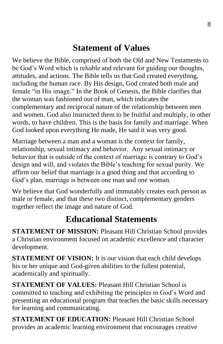#### **Statement of Values**

<span id="page-7-0"></span>We believe the Bible, comprised of both the Old and New Testaments to be God's Word which is reliable and relevant for guiding our thoughts, attitudes, and actions. The Bible tells us that God created everything, including the human race. By His design, God created both male and female "in His image." In the Book of Genesis, the Bible clarifies that the woman was fashioned out of man, which indicates the complementary and reciprocal nature of the relationship between men and women. God also instructed them to be fruitful and multiply, in other words, to have children. This is the basis for family and marriage. When God looked upon everything He made, He said it was very good.

Marriage between a man and a woman is the context for family, relationship, sexual intimacy and behavior. Any sexual intimacy or behavior that is outside of the context of marriage is contrary to God's design and will, and violates the Bible's teaching for sexual purity. We affirm our belief that marriage is a good thing and that according to God's plan, marriage is between one man and one woman.

We believe that God wonderfully and immutably creates each person as male or female, and that these two distinct, complementary genders together reflect the image and nature of God.

#### **Educational Statements**

<span id="page-7-1"></span>**STATEMENT OF MISSION:** Pleasant Hill Christian School provides a Christian environment focused on academic excellence and character development.

**STATEMENT OF VISION:** It is our vision that each child develops his or her unique and God-given abilities to the fullest potential, academically and spiritually.

**STATEMENT OF VALUES:** Pleasant Hill Christian School is committed to teaching and exhibiting the principles in God's Word and presenting an educational program that teaches the basic skills necessary for learning and communicating.

**STATEMENT OF EDUCATION:** Pleasant Hill Christian School provides an academic learning environment that encourages creative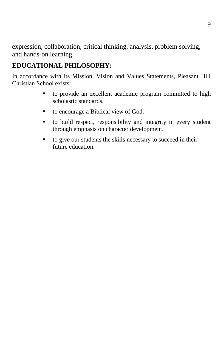expression, collaboration, critical thinking, analysis, problem solving, and hands-on learning.

#### **EDUCATIONAL PHILOSOPHY:**

In accordance with its Mission, Vision and Values Statements, Pleasant Hill Christian School exists:

- to provide an excellent academic program committed to high scholastic standards.
- to encourage a Biblical view of God.
- to build respect, responsibility and integrity in every student through emphasis on character development.
- to give our students the skills necessary to succeed in their future education.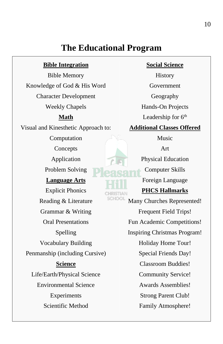#### **The Educational Program**

#### **Bible Integration**

<span id="page-9-0"></span>Bible Memory Knowledge of God & His Word Character Development Weekly Chapels

#### **Math**

Visual and Kinesthetic Approach to:

Computation

Concepts

Application

Problem Solving

#### **Language Arts**

Explicit Phonics Reading & Literature Grammar & Writing Oral Presentations Spelling Vocabulary Building Penmanship (including Cursive) **Science** Life/Earth/Physical Science Environmental Science Experiments Scientific Method

#### **Social Science**

History Government Geography Hands-On Projects Leadership for 6<sup>th</sup>

#### **Additional Classes Offered**

Music

Art

Physical Education

Computer Skills

Foreign Language

#### **PHCS Hallmarks**

CHOOL Many Churches Represented! Frequent Field Trips! Fun Academic Competitions! Inspiring Christmas Program! Holiday Home Tour! Special Friends Day! Classroom Buddies! Community Service! Awards Assemblies! Strong Parent Club! Family Atmosphere!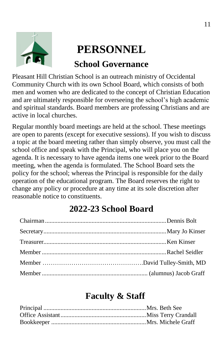<span id="page-10-0"></span>

## **PERSONNEL**

#### **School Governance**

<span id="page-10-1"></span>Pleasant Hill Christian School is an outreach ministry of Occidental Community Church with its own School Board, which consists of both men and women who are dedicated to the concept of Christian Education and are ultimately responsible for overseeing the school's high academic and spiritual standards. Board members are professing Christians and are active in local churches.

Regular monthly board meetings are held at the school. These meetings are open to parents (except for executive sessions). If you wish to discuss a topic at the board meeting rather than simply observe, you must call the school office and speak with the Principal, who will place you on the agenda. It is necessary to have agenda items one week prior to the Board meeting, when the agenda is formulated. The School Board sets the policy for the school; whereas the Principal is responsible for the daily operation of the educational program. The Board reserves the right to change any policy or procedure at any time at its sole discretion after reasonable notice to constituents.

### **2022-23 School Board**

<span id="page-10-2"></span>

#### **Faculty & Staff**

<span id="page-10-3"></span>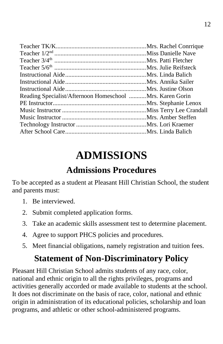| Reading Specialist/Afternoon Homeschool Mrs. Karen Gorin |  |
|----------------------------------------------------------|--|
|                                                          |  |
|                                                          |  |
|                                                          |  |
|                                                          |  |
|                                                          |  |

## **ADMISSIONS**

## **Admissions Procedures**

<span id="page-11-1"></span><span id="page-11-0"></span>To be accepted as a student at Pleasant Hill Christian School, the student and parents must:

- 1. Be interviewed.
- 2. Submit completed application forms.
- 3. Take an academic skills assessment test to determine placement.
- 4. Agree to support PHCS policies and procedures.
- 5. Meet financial obligations, namely registration and tuition fees.

## **Statement of Non-Discriminatory Policy**

<span id="page-11-2"></span>Pleasant Hill Christian School admits students of any race, color, national and ethnic origin to all the rights privileges, programs and activities generally accorded or made available to students at the school. It does not discriminate on the basis of race, color, national and ethnic origin in administration of its educational policies, scholarship and loan programs, and athletic or other school-administered programs.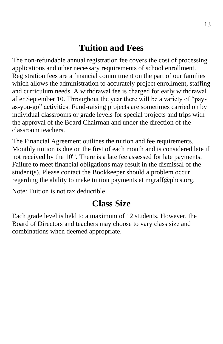#### **Tuition and Fees**

<span id="page-12-0"></span>The non-refundable annual registration fee covers the cost of processing applications and other necessary requirements of school enrollment. Registration fees are a financial commitment on the part of our families which allows the administration to accurately project enrollment, staffing and curriculum needs. A withdrawal fee is charged for early withdrawal after September 10. Throughout the year there will be a variety of "payas-you-go" activities. Fund-raising projects are sometimes carried on by individual classrooms or grade levels for special projects and trips with the approval of the Board Chairman and under the direction of the classroom teachers.

The Financial Agreement outlines the tuition and fee requirements. Monthly tuition is due on the first of each month and is considered late if not received by the 10<sup>th</sup>. There is a late fee assessed for late payments. Failure to meet financial obligations may result in the dismissal of the student(s). Please contact the Bookkeeper should a problem occur regarding the ability to make tuition payments at mgraff@phcs.org.

<span id="page-12-1"></span>Note: Tuition is not tax deductible.

#### **Class Size**

Each grade level is held to a maximum of 12 students. However, the Board of Directors and teachers may choose to vary class size and combinations when deemed appropriate.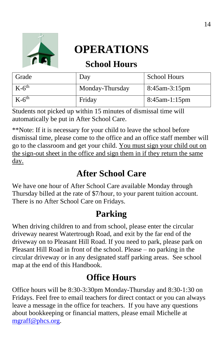<span id="page-13-0"></span>

## **OPERATIONS**

#### **School Hours**

<span id="page-13-1"></span>

| Grade      | Day             | <b>School Hours</b> |
|------------|-----------------|---------------------|
| $K-6^{th}$ | Monday-Thursday | $8:45$ am-3:15pm    |
| $K-6^{th}$ | Friday          | $8:45$ am-1:15pm    |

Students not picked up within 15 minutes of dismissal time will automatically be put in After School Care.

\*\*Note: If it is necessary for your child to leave the school before dismissal time, please come to the office and an office staff member will go to the classroom and get your child. You must sign your child out on the sign-out sheet in the office and sign them in if they return the same day.

### **After School Care**

<span id="page-13-2"></span>We have one hour of After School Care available Monday through Thursday billed at the rate of \$7/hour, to your parent tuition account. There is no After School Care on Fridays.

### **Parking**

<span id="page-13-3"></span>When driving children to and from school, please enter the circular driveway nearest Watertrough Road, and exit by the far end of the driveway on to Pleasant Hill Road. If you need to park, please park on Pleasant Hill Road in front of the school. Please – no parking in the circular driveway or in any designated staff parking areas. See school map at the end of this Handbook.

## **Office Hours**

<span id="page-13-4"></span>Office hours will be 8:30-3:30pm Monday-Thursday and 8:30-1:30 on Fridays. Feel free to email teachers for direct contact or you can always leave a message in the office for teachers. If you have any questions about bookkeeping or financial matters, please email Michelle at [mgraff@phcs.org.](mailto:kjacobs@phcs.org)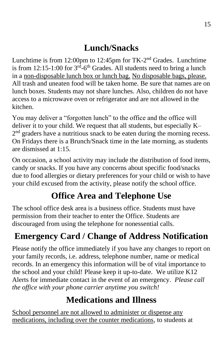## **Lunch/Snacks**

<span id="page-14-0"></span>Lunchtime is from 12:00pm to 12:45pm for TK-2<sup>nd</sup> Grades. Lunchtime is from 12:15-1:00 for  $3<sup>rd</sup>$ -6<sup>th</sup> Grades. All students need to bring a lunch in a non-disposable lunch box or lunch bag. No disposable bags, please. All trash and uneaten food will be taken home. Be sure that names are on lunch boxes. Students may not share lunches. Also, children do not have access to a microwave oven or refrigerator and are not allowed in the kitchen.

You may deliver a "forgotten lunch" to the office and the office will deliver it to your child. We request that all students, but especially K–  $2<sup>nd</sup>$  graders have a nutritious snack to be eaten during the morning recess. On Fridays there is a Brunch/Snack time in the late morning, as students are dismissed at 1:15.

On occasion, a school activity may include the distribution of food items, candy or snacks. If you have any concerns about specific food/snacks due to food allergies or dietary preferences for your child or wish to have your child excused from the activity, please notify the school office.

### **Office Area and Telephone Use**

<span id="page-14-1"></span>The school office desk area is a business office. Students must have permission from their teacher to enter the Office. Students are discouraged from using the telephone for nonessential calls.

## <span id="page-14-2"></span>**Emergency Card / Change of Address Notification**

Please notify the office immediately if you have any changes to report on your family records, i.e. address, telephone number, name or medical records. In an emergency this information will be of vital importance to the school and your child! Please keep it up-to-date. We utilize K12 Alerts for immediate contact in the event of an emergency. *Please call the office with your phone carrier anytime you switch!*

### **Medications and Illness**

<span id="page-14-3"></span>School personnel are not allowed to administer or dispense any medications, including over the counter medications, to students at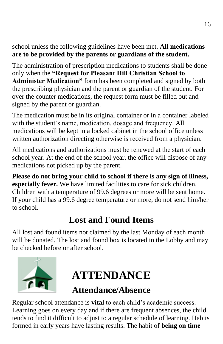school unless the following guidelines have been met. **All medications are to be provided by the parents or guardians of the student.**

The administration of prescription medications to students shall be done only when the **"Request for Pleasant Hill Christian School to Administer Medication"** form has been completed and signed by both the prescribing physician and the parent or guardian of the student. For over the counter medications, the request form must be filled out and signed by the parent or guardian.

The medication must be in its original container or in a container labeled with the student's name, medication, dosage and frequency. All medications will be kept in a locked cabinet in the school office unless written authorization directing otherwise is received from a physician.

All medications and authorizations must be renewed at the start of each school year. At the end of the school year, the office will dispose of any medications not picked up by the parent.

**Please do not bring your child to school if there is any sign of illness, especially fever.** We have limited facilities to care for sick children. Children with a temperature of 99.6 degrees or more will be sent home. If your child has a 99.6 degree temperature or more, do not send him/her to school.

### **Lost and Found Items**

<span id="page-15-0"></span>All lost and found items not claimed by the last Monday of each month will be donated. The lost and found box is located in the Lobby and may be checked before or after school.

<span id="page-15-1"></span>

## **ATTENDANCE**

#### **Attendance/Absence**

<span id="page-15-2"></span>Regular school attendance is **vital** to each child's academic success. Learning goes on every day and if there are frequent absences, the child tends to find it difficult to adjust to a regular schedule of learning. Habits formed in early years have lasting results. The habit of **being on time**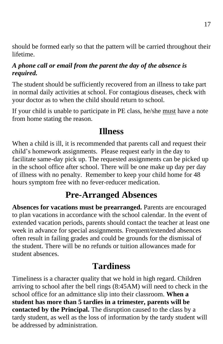should be formed early so that the pattern will be carried throughout their lifetime.

#### *A phone call or email from the parent the day of the absence is required.*

The student should be sufficiently recovered from an illness to take part in normal daily activities at school. For contagious diseases, check with your doctor as to when the child should return to school.

If your child is unable to participate in PE class, he/she must have a note from home stating the reason.

#### **Illness**

<span id="page-16-0"></span>When a child is ill, it is recommended that parents call and request their child's homework assignments. Please request early in the day to facilitate same-day pick up. The requested assignments can be picked up in the school office after school. There will be one make up day per day of illness with no penalty. Remember to keep your child home for 48 hours symptom free with no fever-reducer medication.

#### **Pre-Arranged Absences**

<span id="page-16-1"></span>**Absences for vacations must be prearranged.** Parents are encouraged to plan vacations in accordance with the school calendar. In the event of extended vacation periods, parents should contact the teacher at least one week in advance for special assignments. Frequent/extended absences often result in failing grades and could be grounds for the dismissal of the student. There will be no refunds or tuition allowances made for student absences.

#### **Tardiness**

<span id="page-16-2"></span>Timeliness is a character quality that we hold in high regard. Children arriving to school after the bell rings (8:45AM) will need to check in the school office for an admittance slip into their classroom. **When a student has more than 5 tardies in a trimester, parents will be contacted by the Principal.** The disruption caused to the class by a tardy student, as well as the loss of information by the tardy student will be addressed by administration.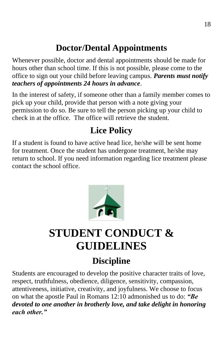### **Doctor/Dental Appointments**

<span id="page-17-0"></span>Whenever possible, doctor and dental appointments should be made for hours other than school time. If this is not possible, please come to the office to sign out your child before leaving campus. *Parents must notify teachers of appointments 24 hours in advance*.

In the interest of safety, if someone other than a family member comes to pick up your child, provide that person with a note giving your permission to do so. Be sure to tell the person picking up your child to check in at the office. The office will retrieve the student.

## **Lice Policy**

<span id="page-17-1"></span>If a student is found to have active head lice, he/she will be sent home for treatment. Once the student has undergone treatment, he/she may return to school. If you need information regarding lice treatment please contact the school office.



## <span id="page-17-2"></span>**STUDENT CONDUCT & GUIDELINES**

## **Discipline**

<span id="page-17-3"></span>Students are encouraged to develop the positive character traits of love, respect, truthfulness, obedience, diligence, sensitivity, compassion, attentiveness, initiative, creativity, and joyfulness. We choose to focus on what the apostle Paul in Romans 12:10 admonished us to do: *"Be devoted to one another in brotherly love, and take delight in honoring each other."*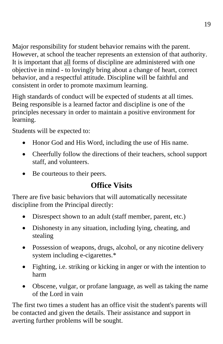Major responsibility for student behavior remains with the parent. However, at school the teacher represents an extension of that authority. It is important that all forms of discipline are administered with one objective in mind - to lovingly bring about a change of heart, correct behavior, and a respectful attitude. Discipline will be faithful and consistent in order to promote maximum learning.

High standards of conduct will be expected of students at all times. Being responsible is a learned factor and discipline is one of the principles necessary in order to maintain a positive environment for learning.

Students will be expected to:

- Honor God and His Word, including the use of His name.
- Cheerfully follow the directions of their teachers, school support staff, and volunteers.
- Be courteous to their peers.

#### **Office Visits**

There are five basic behaviors that will automatically necessitate discipline from the Principal directly:

- Disrespect shown to an adult (staff member, parent, etc.)
- Dishonesty in any situation, including lying, cheating, and stealing
- Possession of weapons, drugs, alcohol, or any nicotine delivery system including e-cigarettes.\*
- Fighting, i.e. striking or kicking in anger or with the intention to harm
- Obscene, vulgar, or profane language, as well as taking the name of the Lord in vain

The first two times a student has an office visit the student's parents will be contacted and given the details. Their assistance and support in averting further problems will be sought.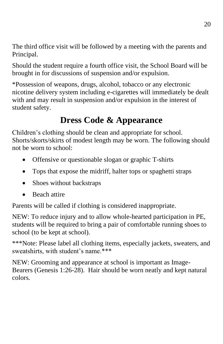The third office visit will be followed by a meeting with the parents and Principal.

Should the student require a fourth office visit, the School Board will be brought in for discussions of suspension and/or expulsion.

\*Possession of weapons, drugs, alcohol, tobacco or any electronic nicotine delivery system including e-cigarettes will immediately be dealt with and may result in suspension and/or expulsion in the interest of student safety.

### **Dress Code & Appearance**

<span id="page-19-0"></span>Children's clothing should be clean and appropriate for school. Shorts/skorts/skirts of modest length may be worn. The following should not be worn to school:

- Offensive or questionable slogan or graphic T-shirts
- Tops that expose the midriff, halter tops or spaghetti straps
- Shoes without backstraps
- Beach attire

Parents will be called if clothing is considered inappropriate.

NEW: To reduce injury and to allow whole-hearted participation in PE, students will be required to bring a pair of comfortable running shoes to school (to be kept at school).

\*\*\*Note: Please label all clothing items, especially jackets, sweaters, and sweatshirts, with student's name.\*\*\*

NEW: Grooming and appearance at school is important as Image-Bearers (Genesis 1:26-28). Hair should be worn neatly and kept natural colors.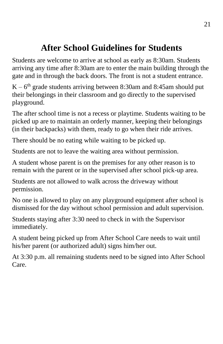### **After School Guidelines for Students**

<span id="page-20-0"></span>Students are welcome to arrive at school as early as 8:30am. Students arriving any time after 8:30am are to enter the main building through the gate and in through the back doors. The front is not a student entrance.

 $K - 6<sup>th</sup>$  grade students arriving between 8:30am and 8:45am should put their belongings in their classroom and go directly to the supervised playground.

The after school time is not a recess or playtime. Students waiting to be picked up are to maintain an orderly manner, keeping their belongings (in their backpacks) with them, ready to go when their ride arrives.

There should be no eating while waiting to be picked up.

Students are not to leave the waiting area without permission.

A student whose parent is on the premises for any other reason is to remain with the parent or in the supervised after school pick-up area.

Students are not allowed to walk across the driveway without permission.

No one is allowed to play on any playground equipment after school is dismissed for the day without school permission and adult supervision.

Students staying after 3:30 need to check in with the Supervisor immediately.

A student being picked up from After School Care needs to wait until his/her parent (or authorized adult) signs him/her out.

At 3:30 p.m. all remaining students need to be signed into After School Care.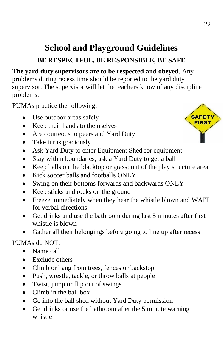#### **School and Playground Guidelines BE RESPECTFUL, BE RESPONSIBLE, BE SAFE**

#### <span id="page-21-0"></span>**The yard duty supervisors are to be respected and obeyed**. Any problems during recess time should be reported to the yard duty

supervisor. The supervisor will let the teachers know of any discipline problems.

PUMAs practice the following:

- Use outdoor areas safely
- Keep their hands to themselves
- Are courteous to peers and Yard Duty
- Take turns graciously
- Ask Yard Duty to enter Equipment Shed for equipment
- Stay within boundaries; ask a Yard Duty to get a ball
- Keep balls on the blacktop or grass; out of the play structure area
- Kick soccer balls and footballs ONLY
- Swing on their bottoms forwards and backwards ONLY
- Keep sticks and rocks on the ground
- Freeze immediately when they hear the whistle blown and WAIT for verbal directions
- Get drinks and use the bathroom during last 5 minutes after first whistle is blown
- Gather all their belongings before going to line up after recess

#### PUMAs do NOT:

- Name call
- Exclude others
- Climb or hang from trees, fences or backstop
- Push, wrestle, tackle, or throw balls at people
- Twist, jump or flip out of swings
- Climb in the ball box
- Go into the ball shed without Yard Duty permission
- Get drinks or use the bathroom after the 5 minute warning whistle

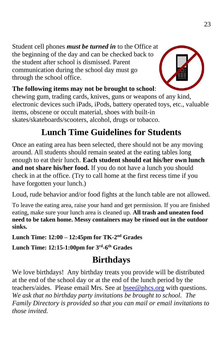Student cell phones *must be turned in* to the Office at the beginning of the day and can be checked back to the student after school is dismissed. Parent communication during the school day must go through the school office.



#### **The following items may not be brought to school**:

chewing gum, trading cards, knives, guns or weapons of any kind, electronic devices such iPads, iPods, battery operated toys, etc., valuable items, obscene or occult material, shoes with built-in skates/skateboards/scooters, alcohol, drugs or tobacco.

#### **Lunch Time Guidelines for Students**

<span id="page-22-0"></span>Once an eating area has been selected, there should not be any moving around. All students should remain seated at the eating tables long enough to eat their lunch. **Each student should eat his/her own lunch and not share his/her food.** If you do not have a lunch you should check in at the office. (Try to call home at the first recess time if you have forgotten your lunch.)

Loud, rude behavior and/or food fights at the lunch table are not allowed.

To leave the eating area, raise your hand and get permission. If you are finished eating, make sure your lunch area is cleaned up. **All trash and uneaten food need to be taken home. Messy containers may be rinsed out in the outdoor sinks.**

**Lunch Time: 12:00 – 12:45pm for TK-2 nd Grades**

<span id="page-22-1"></span>**Lunch Time: 12:15-1:00pm for 3rd -6 th Grades** 

#### **Birthdays**

We love birthdays! Any birthday treats you provide will be distributed at the end of the school day or at the end of the lunch period by the teachers/aides. Please email Mrs. See at [bsee@phcs.org](mailto:bsee@phcs.org) with questions. *We ask that no birthday party invitations be brought to school. The Family Directory is provided so that you can mail or email invitations to those invited.*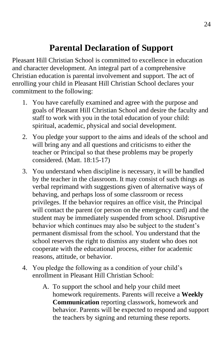#### **Parental Declaration of Support**

<span id="page-23-0"></span>Pleasant Hill Christian School is committed to excellence in education and character development. An integral part of a comprehensive Christian education is parental involvement and support. The act of enrolling your child in Pleasant Hill Christian School declares your commitment to the following:

- 1. You have carefully examined and agree with the purpose and goals of Pleasant Hill Christian School and desire the faculty and staff to work with you in the total education of your child: spiritual, academic, physical and social development.
- 2. You pledge your support to the aims and ideals of the school and will bring any and all questions and criticisms to either the teacher or Principal so that these problems may be properly considered. (Matt. 18:15-17)
- 3. You understand when discipline is necessary, it will be handled by the teacher in the classroom. It may consist of such things as verbal reprimand with suggestions given of alternative ways of behaving, and perhaps loss of some classroom or recess privileges. If the behavior requires an office visit, the Principal will contact the parent (or person on the emergency card) and the student may be immediately suspended from school. Disruptive behavior which continues may also be subject to the student's permanent dismissal from the school. You understand that the school reserves the right to dismiss any student who does not cooperate with the educational process, either for academic reasons, attitude, or behavior.
- 4. You pledge the following as a condition of your child's enrollment in Pleasant Hill Christian School:
	- A. To support the school and help your child meet homework requirements. Parents will receive a **Weekly Communication** reporting classwork, homework and behavior. Parents will be expected to respond and support the teachers by signing and returning these reports.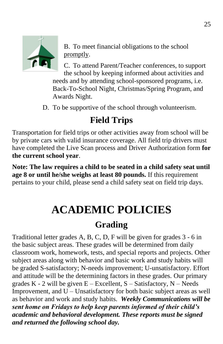

B. To meet financial obligations to the school promptly.

C. To attend Parent/Teacher conferences, to support the school by keeping informed about activities and needs and by attending school-sponsored programs, i.e. Back-To-School Night, Christmas/Spring Program, and Awards Night.

D. To be supportive of the school through volunteerism.

#### **Field Trips**

<span id="page-24-0"></span>Transportation for field trips or other activities away from school will be by private cars with valid insurance coverage. All field trip drivers must have completed the Live Scan process and Driver Authorization form **for the current school year**.

<span id="page-24-1"></span>**Note: The law requires a child to be seated in a child safety seat until age 8 or until he/she weighs at least 80 pounds.** If this requirement pertains to your child, please send a child safety seat on field trip days.

## **ACADEMIC POLICIES**

### **Grading**

<span id="page-24-2"></span>Traditional letter grades A, B, C, D, F will be given for grades 3 - 6 in the basic subject areas. These grades will be determined from daily classroom work, homework, tests, and special reports and projects. Other subject areas along with behavior and basic work and study habits will be graded S-satisfactory; N-needs improvement; U-unsatisfactory. Effort and attitude will be the determining factors in these grades. Our primary grades  $K - 2$  will be given  $E - Excellent$ ,  $S - S \text{atisfactory}$ ,  $N - Needs$ Improvement, and  $U -$ Unsatisfactory for both basic subject areas as well as behavior and work and study habits. *Weekly Communications will be sent home on Fridays to help keep parents informed of their child's academic and behavioral development. These reports must be signed and returned the following school day.*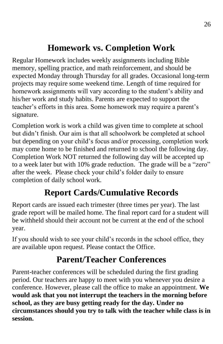### **Homework vs. Completion Work**

<span id="page-25-0"></span>Regular Homework includes weekly assignments including Bible memory, spelling practice, and math reinforcement, and should be expected Monday through Thursday for all grades. Occasional long-term projects may require some weekend time. Length of time required for homework assignments will vary according to the student's ability and his/her work and study habits. Parents are expected to support the teacher's efforts in this area. Some homework may require a parent's signature.

Completion work is work a child was given time to complete at school but didn't finish. Our aim is that all schoolwork be completed at school but depending on your child's focus and/or processing, completion work may come home to be finished and returned to school the following day. Completion Work NOT returned the following day will be accepted up to a week later but with 10% grade reduction. The grade will be a "zero" after the week. Please check your child's folder daily to ensure completion of daily school work.

### **Report Cards/Cumulative Records**

<span id="page-25-1"></span>Report cards are issued each trimester (three times per year). The last grade report will be mailed home. The final report card for a student will be withheld should their account not be current at the end of the school year.

If you should wish to see your child's records in the school office, they are available upon request. Please contact the Office.

### **Parent/Teacher Conferences**

<span id="page-25-2"></span>Parent-teacher conferences will be scheduled during the first grading period. Our teachers are happy to meet with you whenever you desire a conference. However, please call the office to make an appointment. **We would ask that you not interrupt the teachers in the morning before school, as they are busy getting ready for the day. Under no circumstances should you try to talk with the teacher while class is in session.**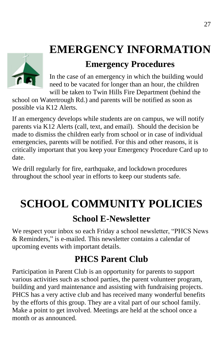## <span id="page-26-0"></span>**EMERGENCY INFORMATION**

#### **Emergency Procedures**

<span id="page-26-1"></span>In the case of an emergency in which the building would need to be vacated for longer than an hour, the children will be taken to Twin Hills Fire Department (behind the

school on Watertrough Rd.) and parents will be notified as soon as possible via K12 Alerts.

If an emergency develops while students are on campus, we will notify parents via K12 Alerts (call, text, and email). Should the decision be made to dismiss the children early from school or in case of individual emergencies, parents will be notified. For this and other reasons, it is critically important that you keep your Emergency Procedure Card up to date.

We drill regularly for fire, earthquake, and lockdown procedures throughout the school year in efforts to keep our students safe.

## <span id="page-26-2"></span>**SCHOOL COMMUNITY POLICIES**

#### **School E-Newsletter**

<span id="page-26-3"></span>We respect your inbox so each Friday a school newsletter, "PHCS News & Reminders," is e-mailed. This newsletter contains a calendar of upcoming events with important details.

## **PHCS Parent Club**

<span id="page-26-4"></span>Participation in Parent Club is an opportunity for parents to support various activities such as school parties, the parent volunteer program, building and yard maintenance and assisting with fundraising projects. PHCS has a very active club and has received many wonderful benefits by the efforts of this group. They are a vital part of our school family. Make a point to get involved. Meetings are held at the school once a month or as announced.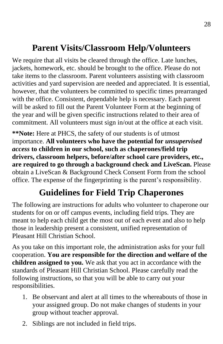### **Parent Visits/Classroom Help/Volunteers**

<span id="page-27-0"></span>We require that all visits be cleared through the office. Late lunches, jackets, homework, etc. should be brought to the office. Please do not take items to the classroom. Parent volunteers assisting with classroom activities and yard supervision are needed and appreciated. It is essential, however, that the volunteers be committed to specific times prearranged with the office. Consistent, dependable help is necessary. Each parent will be asked to fill out the Parent Volunteer Form at the beginning of the year and will be given specific instructions related to their area of commitment. All volunteers must sign in/out at the office at each visit.

**\*\*Note:** Here at PHCS, the safety of our students is of utmost importance. **All volunteers who have the potential for** *unsupervised access* **to children in our school, such as chaperones/field trip drivers, classroom helpers, before/after school care providers, etc., are required to go through a background check and LiveScan.** Please obtain a LiveScan & Background Check Consent Form from the school office. The expense of the fingerprinting is the parent's responsibility.

### **Guidelines for Field Trip Chaperones**

<span id="page-27-1"></span>The following are instructions for adults who volunteer to chaperone our students for on or off campus events, including field trips. They are meant to help each child get the most out of each event and also to help those in leadership present a consistent, unified representation of Pleasant Hill Christian School.

As you take on this important role, the administration asks for your full cooperation. **You are responsible for the direction and welfare of the children assigned to you.** We ask that you act in accordance with the standards of Pleasant Hill Christian School. Please carefully read the following instructions, so that you will be able to carry out your responsibilities.

- 1. Be observant and alert at all times to the whereabouts of those in your assigned group. Do not make changes of students in your group without teacher approval.
- 2. Siblings are not included in field trips.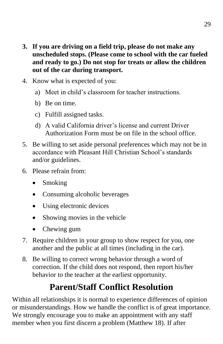- **3. If you are driving on a field trip, please do not make any unscheduled stops. (Please come to school with the car fueled and ready to go.) Do not stop for treats or allow the children out of the car during transport.**
- 4. Know what is expected of you:
	- a) Meet in child's classroom for teacher instructions.
	- b) Be on time.
	- c) Fulfill assigned tasks.
	- d) A valid California driver's license and current Driver Authorization Form must be on file in the school office.
- 5. Be willing to set aside personal preferences which may not be in accordance with Pleasant Hill Christian School's standards and/or guidelines.
- 6. Please refrain from:
	- Smoking
	- Consuming alcoholic beverages
	- Using electronic devices
	- Showing movies in the vehicle
	- Chewing gum
- 7. Require children in your group to show respect for you, one another and the public at all times (including in the car).
- 8. Be willing to correct wrong behavior through a word of correction. If the child does not respond, then report his/her behavior to the teacher at the earliest opportunity.

## **Parent/Staff Conflict Resolution**

<span id="page-28-0"></span>Within all relationships it is normal to experience differences of opinion or misunderstandings. How we handle the conflict is of great importance. We strongly encourage you to make an appointment with any staff member when you first discern a problem (Matthew 18). If after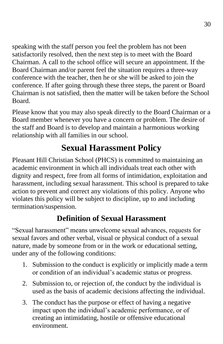speaking with the staff person you feel the problem has not been satisfactorily resolved, then the next step is to meet with the Board Chairman. A call to the school office will secure an appointment. If the Board Chairman and/or parent feel the situation requires a three-way conference with the teacher, then he or she will be asked to join the conference. If after going through these three steps, the parent or Board Chairman is not satisfied, then the matter will be taken before the School Board.

Please know that you may also speak directly to the Board Chairman or a Board member whenever you have a concern or problem. The desire of the staff and Board is to develop and maintain a harmonious working relationship with all families in our school.

### **Sexual Harassment Policy**

<span id="page-29-0"></span>Pleasant Hill Christian School (PHCS) is committed to maintaining an academic environment in which all individuals treat each other with dignity and respect, free from all forms of intimidation, exploitation and harassment, including sexual harassment. This school is prepared to take action to prevent and correct any violations of this policy. Anyone who violates this policy will be subject to discipline, up to and including termination/suspension.

#### **Definition of Sexual Harassment**

"Sexual harassment" means unwelcome sexual advances, requests for sexual favors and other verbal, visual or physical conduct of a sexual nature, made by someone from or in the work or educational setting, under any of the following conditions:

- 1. Submission to the conduct is explicitly or implicitly made a term or condition of an individual's academic status or progress.
- 2. Submission to, or rejection of, the conduct by the individual is used as the basis of academic decisions affecting the individual.
- 3. The conduct has the purpose or effect of having a negative impact upon the individual's academic performance, or of creating an intimidating, hostile or offensive educational environment.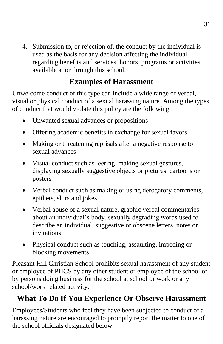4. Submission to, or rejection of, the conduct by the individual is used as the basis for any decision affecting the individual regarding benefits and services, honors, programs or activities available at or through this school.

#### **Examples of Harassment**

Unwelcome conduct of this type can include a wide range of verbal, visual or physical conduct of a sexual harassing nature. Among the types of conduct that would violate this policy are the following:

- Unwanted sexual advances or propositions
- Offering academic benefits in exchange for sexual favors
- Making or threatening reprisals after a negative response to sexual advances
- Visual conduct such as leering, making sexual gestures, displaying sexually suggestive objects or pictures, cartoons or posters
- Verbal conduct such as making or using derogatory comments, epithets, slurs and jokes
- Verbal abuse of a sexual nature, graphic verbal commentaries about an individual's body, sexually degrading words used to describe an individual, suggestive or obscene letters, notes or invitations
- Physical conduct such as touching, assaulting, impeding or blocking movements

Pleasant Hill Christian School prohibits sexual harassment of any student or employee of PHCS by any other student or employee of the school or by persons doing business for the school at school or work or any school/work related activity.

#### **What To Do If You Experience Or Observe Harassment**

Employees/Students who feel they have been subjected to conduct of a harassing nature are encouraged to promptly report the matter to one of the school officials designated below.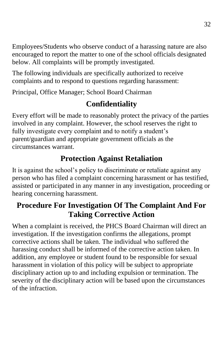Employees/Students who observe conduct of a harassing nature are also encouraged to report the matter to one of the school officials designated below. All complaints will be promptly investigated.

The following individuals are specifically authorized to receive complaints and to respond to questions regarding harassment:

Principal, Office Manager; School Board Chairman

#### **Confidentiality**

Every effort will be made to reasonably protect the privacy of the parties involved in any complaint. However, the school reserves the right to fully investigate every complaint and to notify a student's parent/guardian and appropriate government officials as the circumstances warrant.

#### **Protection Against Retaliation**

It is against the school's policy to discriminate or retaliate against any person who has filed a complaint concerning harassment or has testified, assisted or participated in any manner in any investigation, proceeding or hearing concerning harassment.

#### **Procedure For Investigation Of The Complaint And For Taking Corrective Action**

When a complaint is received, the PHCS Board Chairman will direct an investigation. If the investigation confirms the allegations, prompt corrective actions shall be taken. The individual who suffered the harassing conduct shall be informed of the corrective action taken. In addition, any employee or student found to be responsible for sexual harassment in violation of this policy will be subject to appropriate disciplinary action up to and including expulsion or termination. The severity of the disciplinary action will be based upon the circumstances of the infraction.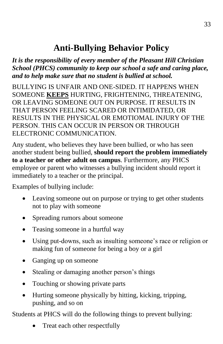### **Anti-Bullying Behavior Policy**

<span id="page-32-0"></span>*It is the responsibility of every member of the Pleasant Hill Christian School (PHCS) community to keep our school a safe and caring place, and to help make sure that no student is bullied at school.*

BULLYING IS UNFAIR AND ONE-SIDED. IT HAPPENS WHEN SOMEONE **KEEPS** HURTING, FRIGHTENING, THREATENING, OR LEAVING SOMEONE OUT ON PURPOSE. IT RESULTS IN THAT PERSON FEELING SCARED OR INTIMIDATED, OR RESULTS IN THE PHYSICAL OR EMOTIOMAL INJURY OF THE PERSON. THIS CAN OCCUR IN PERSON OR THROUGH ELECTRONIC COMMUNICATION.

Any student, who believes they have been bullied, or who has seen another student being bullied, **should report the problem immediately to a teacher or other adult on campus**. Furthermore, any PHCS employee or parent who witnesses a bullying incident should report it immediately to a teacher or the principal.

Examples of bullying include:

- Leaving someone out on purpose or trying to get other students not to play with someone
- Spreading rumors about someone
- Teasing someone in a hurtful way
- Using put-downs, such as insulting someone's race or religion or making fun of someone for being a boy or a girl
- Ganging up on someone
- Stealing or damaging another person's things
- Touching or showing private parts
- Hurting someone physically by hitting, kicking, tripping, pushing, and so on

Students at PHCS will do the following things to prevent bullying:

• Treat each other respectfully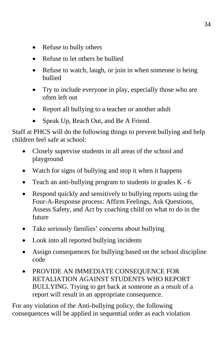- Refuse to bully others
- Refuse to let others be bullied
- Refuse to watch, laugh, or join in when someone is being bullied
- Try to include everyone in play, especially those who are often left out
- Report all bullying to a teacher or another adult
- Speak Up, Reach Out, and Be A Friend.

Staff at PHCS will do the following things to prevent bullying and help children feel safe at school:

- Closely supervise students in all areas of the school and playground
- Watch for signs of bullying and stop it when it happens
- Teach an anti-bullying program to students in grades  $K 6$
- Respond quickly and sensitively to bullying reports using the Four-A-Response process: Affirm Feelings, Ask Questions, Assess Safety, and Act by coaching child on what to do in the future
- Take seriously families' concerns about bullying
- Look into all reported bullying incidents
- Assign consequences for bullying based on the school discipline code
- PROVIDE AN IMMEDIATE CONSEQUENCE FOR RETALIATION AGAINST STUDENTS WHO REPORT BULLYING. Trying to get back at someone as a result of a report will result in an appropriate consequence.

For any violation of the Anti-bullying policy, the following consequences will be applied in sequential order as each violation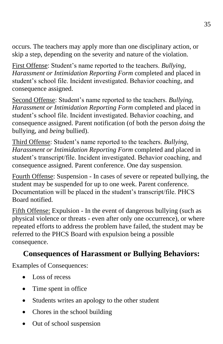occurs. The teachers may apply more than one disciplinary action, or skip a step, depending on the severity and nature of the violation.

First Offense: Student's name reported to the teachers. *Bullying, Harassment or Intimidation Reporting Form* completed and placed in student's school file. Incident investigated. Behavior coaching, and consequence assigned.

Second Offense: Student's name reported to the teachers. *Bullying, Harassment or Intimidation Reporting Form* completed and placed in student's school file. Incident investigated. Behavior coaching, and consequence assigned. Parent notification (of both the person *doing* the bullying, and *being* bullied).

Third Offense: Student's name reported to the teachers. *Bullying, Harassment or Intimidation Reporting Form* completed and placed in student's transcript/file. Incident investigated. Behavior coaching, and consequence assigned. Parent conference. One day suspension.

Fourth Offense: Suspension - In cases of severe or repeated bullying, the student may be suspended for up to one week. Parent conference. Documentation will be placed in the student's transcript/file. PHCS Board notified.

Fifth Offense: Expulsion - In the event of dangerous bullying (such as physical violence or threats - even after only one occurrence), or where repeated efforts to address the problem have failed, the student may be referred to the PHCS Board with expulsion being a possible consequence.

#### **Consequences of Harassment or Bullying Behaviors:**

Examples of Consequences:

- Loss of recess
- Time spent in office
- Students writes an apology to the other student
- Chores in the school building
- Out of school suspension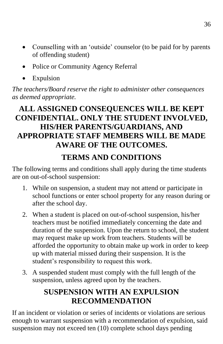- Counselling with an 'outside' counselor (to be paid for by parents of offending student)
- Police or Community Agency Referral
- Expulsion

*The teachers/Board reserve the right to administer other consequences as deemed appropriate.*

#### **ALL ASSIGNED CONSEQUENCES WILL BE KEPT CONFIDENTIAL. ONLY THE STUDENT INVOLVED, HIS/HER PARENTS/GUARDIANS, AND APPROPRIATE STAFF MEMBERS WILL BE MADE AWARE OF THE OUTCOMES.**

#### **TERMS AND CONDITIONS**

The following terms and conditions shall apply during the time students are on out-of-school suspension:

- 1. While on suspension, a student may not attend or participate in school functions or enter school property for any reason during or after the school day.
- 2. When a student is placed on out-of-school suspension, his/her teachers must be notified immediately concerning the date and duration of the suspension. Upon the return to school, the student may request make up work from teachers. Students will be afforded the opportunity to obtain make up work in order to keep up with material missed during their suspension. It is the student's responsibility to request this work.
- 3. A suspended student must comply with the full length of the suspension, unless agreed upon by the teachers.

#### **SUSPENSION WITH AN EXPULSION RECOMMENDATION**

If an incident or violation or series of incidents or violations are serious enough to warrant suspension with a recommendation of expulsion, said suspension may not exceed ten (10) complete school days pending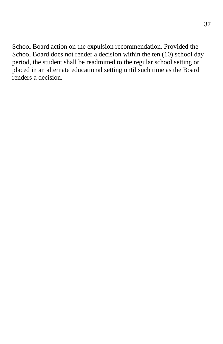School Board action on the expulsion recommendation. Provided the School Board does not render a decision within the ten (10) school day period, the student shall be readmitted to the regular school setting or placed in an alternate educational setting until such time as the Board renders a decision.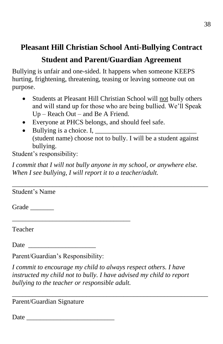#### **Pleasant Hill Christian School Anti-Bullying Contract**

#### **Student and Parent/Guardian Agreement**

Bullying is unfair and one-sided. It happens when someone KEEPS hurting, frightening, threatening, teasing or leaving someone out on purpose.

- Students at Pleasant Hill Christian School will not bully others and will stand up for those who are being bullied. We'll Speak Up – Reach Out – and Be A Friend.
- Everyone at PHCS belongs, and should feel safe.
- Bullying is a choice. I, (student name) choose not to bully. I will be a student against bullying.

Student's responsibility:

*I commit that I will not bully anyone in my school, or anywhere else. When I see bullying, I will report it to a teacher/adult.*

\_\_\_\_\_\_\_\_\_\_\_\_\_\_\_\_\_\_\_\_\_\_\_\_\_\_\_\_\_\_\_\_\_\_\_\_\_\_\_\_\_\_\_\_\_\_\_\_\_\_\_\_\_\_\_\_\_\_

Student's Name

Grade \_\_\_\_\_\_\_

Teacher

Date  $\Box$ 

Parent/Guardian's Responsibility:

\_\_\_\_\_\_\_\_\_\_\_\_\_\_\_\_\_\_\_\_\_\_\_\_\_\_\_\_\_\_\_\_\_\_\_

*I commit to encourage my child to always respect others. I have instructed my child not to bully. I have advised my child to report bullying to the teacher or responsible adult.*

\_\_\_\_\_\_\_\_\_\_\_\_\_\_\_\_\_\_\_\_\_\_\_\_\_\_\_\_\_\_\_\_\_\_\_\_\_\_\_\_\_\_\_\_\_\_\_\_\_\_\_\_\_\_\_\_\_\_

Parent/Guardian Signature

 $Date$   $\qquad \qquad$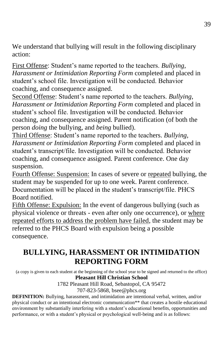We understand that bullying will result in the following disciplinary action:

First Offense: Student's name reported to the teachers. *Bullying, Harassment or Intimidation Reporting Form* completed and placed in student's school file. Investigation will be conducted. Behavior coaching, and consequence assigned.

Second Offense: Student's name reported to the teachers. *Bullying, Harassment or Intimidation Reporting Form* completed and placed in student's school file. Investigation will be conducted. Behavior coaching, and consequence assigned. Parent notification (of both the person *doing* the bullying, and *being* bullied).

Third Offense: Student's name reported to the teachers. *Bullying, Harassment or Intimidation Reporting Form* completed and placed in student's transcript/file. Investigation will be conducted. Behavior coaching, and consequence assigned. Parent conference. One day suspension.

Fourth Offense: Suspension: In cases of severe or repeated bullying, the student may be suspended for up to one week. Parent conference. Documentation will be placed in the student's transcript/file. PHCS Board notified.

Fifth Offense: Expulsion: In the event of dangerous bullying (such as physical violence or threats - even after only one occurrence), or where repeated efforts to address the problem have failed, the student may be referred to the PHCS Board with expulsion being a possible consequence.

#### **BULLYING, HARASSMENT OR INTIMIDATION REPORTING FORM**

(a copy is given to each student at the beginning of the school year to be signed and returned to the office) **Pleasant Hill Christian School**

1782 Pleasant Hill Road, Sebastopol, CA 95472

707-823-5868, bsee@phcs.org

**DEFINITION:** Bullying, harassment, and intimidation are intentional verbal, written, and/or physical conduct or an intentional electronic communication\*\* that creates a hostile educational environment by substantially interfering with a student's educational benefits, opportunities and performance, or with a student's physical or psychological well-being and is as follows: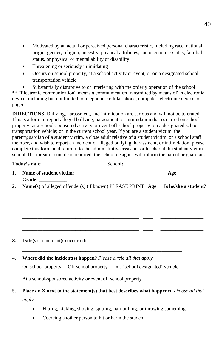- Motivated by an actual or perceived personal characteristic, including race, national origin, gender, religion, ancestry, physical attributes, socioeconomic status, familial status, or physical or mental ability or disability
- Threatening or seriously intimidating
- Occurs on school property, at a school activity or event, or on a designated school transportation vehicle

Substantially disruptive to or interfering with the orderly operation of the school \*\* "Electronic communication" means a communication transmitted by means of an electronic device, including but not limited to telephone, cellular phone, computer, electronic device, or pager.

**DIRECTIONS**: Bullying, harassment, and intimidation are serious and will not be tolerated. This is a form to report alleged bullying, harassment, or intimidation that occurred on school property; at a school-sponsored activity or event off school property; on a designated school transportation vehicle; or in the current school year. If you are a student victim, the parent/guardian of a student victim, a close adult relative of a student victim, or a school staff member, and wish to report an incident of alleged bullying, harassment, or intimidation, please complete this form, and return it to the administrative assistant or teacher at the student victim's school. If a threat of suicide is reported, the school designee will inform the parent or guardian.

| 2.<br><b>Name(s)</b> of alleged offender(s) (if known) PLEASE PRINT <b>Age</b> Is he/she a student? |
|-----------------------------------------------------------------------------------------------------|

3. **Date(s)** in incident(s) occurred:

#### 4. **Where did the incident(s) happen**? *Please circle all that apply*

On school property Off school property In a 'school designated' vehicle

\_\_\_\_\_\_\_\_\_\_\_\_\_\_\_\_\_\_\_\_\_\_\_\_\_\_\_\_\_\_\_\_\_\_\_\_\_\_\_\_\_\_\_\_\_\_\_\_\_\_\_\_\_\_\_\_\_\_\_\_\_\_\_

At a school-sponsored activity or event off school property

#### 5. **Place an X next to the statement(s) that best describes what happened** *choose all that apply*:

- Hitting, kicking, shoving, spitting, hair pulling, or throwing something
- Coercing another person to hit or harm the student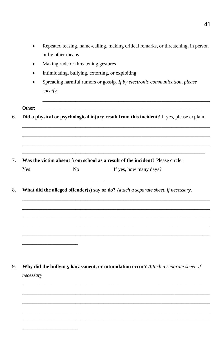| Repeated teasing, name-calling, making critical remarks, or threatening, in person |
|------------------------------------------------------------------------------------|
| or by other means                                                                  |

- Making rude or threatening gestures  $\bullet$
- Intimidating, bullying, extorting, or exploiting  $\bullet$
- $\bullet$ Spreading harmful rumors or gossip. If by electronic communication, please specify:

Other:

Did a physical or psychological injury result from this incident? If yes, please explain: 6.

- $7.$ Was the victim absent from school as a result of the incident? Please circle: Yes  $No$ If yes, how many days?
- What did the alleged offender(s) say or do? Attach a separate sheet, if necessary. 8.

9. Why did the bullying, harassment, or intimidation occur? Attach a separate sheet, if necessary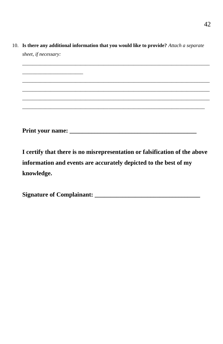10. **Is there any additional information that you would like to provide?** *Attach a separate sheet, if necessary:* 

*\_\_*\_\_\_\_\_\_\_\_\_\_\_\_\_\_\_\_\_\_*\_\_\_\_*

*\_\_\_\_\_\_\_\_\_\_\_\_\_\_\_\_\_\_\_\_\_\_\_\_\_\_\_\_\_\_\_\_\_\_\_\_\_\_\_\_\_\_\_\_\_\_\_\_\_\_\_\_\_\_\_\_\_\_\_\_\_\_\_\_\_\_\_\_\_\_\_\_\_\_*

\_\_\_\_\_\_\_\_\_\_\_\_\_\_\_\_\_\_\_\_\_\_\_\_\_\_\_\_\_\_\_\_\_\_\_\_\_\_\_\_\_\_\_\_\_\_\_\_\_\_\_\_\_\_\_\_\_\_\_\_\_\_\_\_\_\_\_\_\_\_\_\_\_\_ \_\_\_\_\_\_\_\_\_\_\_\_\_\_\_\_\_\_\_\_\_\_\_\_\_\_\_\_\_\_\_\_\_\_\_\_\_\_\_\_\_\_\_\_\_\_\_\_\_\_\_\_\_\_\_\_\_\_\_\_\_\_\_\_\_\_\_\_\_\_\_\_\_\_ \_\_\_\_\_\_\_\_\_\_\_\_\_\_\_\_\_\_\_\_\_\_\_\_\_\_\_\_\_\_\_\_\_\_\_\_\_\_\_\_\_\_\_\_\_\_\_\_\_\_\_\_\_\_\_\_\_\_\_\_\_\_\_\_\_\_\_\_\_\_\_\_\_\_ \_\_\_\_\_\_\_\_\_\_\_\_\_\_\_\_\_\_\_\_\_\_\_\_\_\_\_\_\_\_\_\_\_\_\_\_\_\_\_\_\_\_\_\_\_\_\_\_\_\_\_\_\_\_\_\_\_\_\_\_\_\_\_\_\_\_\_\_\_\_\_\_

**Print your name: \_\_\_\_\_\_\_\_\_\_\_\_\_\_\_\_\_\_\_\_\_\_\_\_\_\_\_\_\_\_\_\_\_\_\_\_\_\_\_\_\_**

**I certify that there is no misrepresentation or falsification of the above information and events are accurately depicted to the best of my knowledge.**

| <b>Signature of Complainant:</b> |  |
|----------------------------------|--|
|                                  |  |